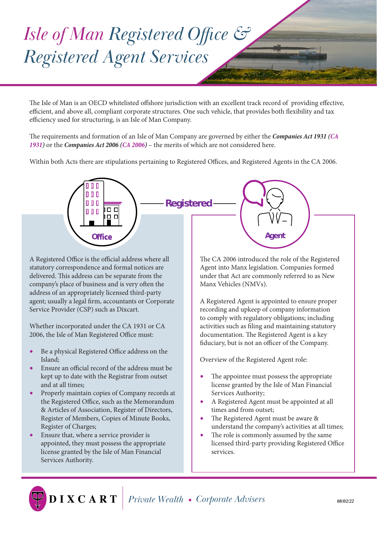## *Isle of Man Registered Office & Registered Agent Services*

The Isle of Man is an OECD whitelisted offshore jurisdiction with an excellent track record of providing effective, efficient, and above all, compliant corporate structures. One such vehicle, that provides both flexibility and tax efficiency used for structuring, is an Isle of Man Company.

The requirements and formation of an Isle of Man Company are governed by either the *Companies Act 1931 (CA 1931)* or the *Companies Act 2006 (CA 2006)* – the merits of which are not considered here.

Within both Acts there are stipulations pertaining to Registered Offices, and Registered Agents in the CA 2006.



A Registered Office is the official address where all statutory correspondence and formal notices are delivered. This address can be separate from the company's place of business and is very often the address of an appropriately licensed third-party agent; usually a legal firm, accountants or Corporate Service Provider (CSP) such as Dixcart.

Whether incorporated under the CA 1931 or CA 2006, the Isle of Man Registered Office must:

- Be a physical Registered Office address on the Island;
- Ensure an official record of the address must be kept up to date with the Registrar from outset and at all times;
- Properly maintain copies of Company records at the Registered Office, such as the Memorandum & Articles of Association, Register of Directors, Register of Members, Copies of Minute Books, Register of Charges;
- Ensure that, where a service provider is appointed, they must possess the appropriate license granted by the Isle of Man Financial Services Authority.

The CA 2006 introduced the role of the Registered Agent into Manx legislation. Companies formed under that Act are commonly referred to as New Manx Vehicles (NMVs).

A Registered Agent is appointed to ensure proper recording and upkeep of company information to comply with regulatory obligations; including activities such as filing and maintaining statutory documentation. The Registered Agent is a key fiduciary, but is not an officer of the Company.

Overview of the Registered Agent role:

- The appointee must possess the appropriate license granted by the Isle of Man Financial Services Authority;
- A Registered Agent must be appointed at all times and from outset;
- The Registered Agent must be aware & understand the company's activities at all times;
- The role is commonly assumed by the same licensed third-party providing Registered Office services.